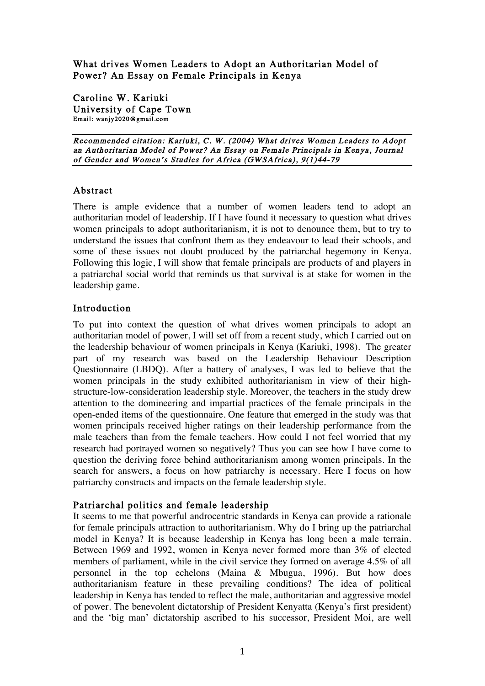What drives Women Leaders to Adopt an Authoritarian Model of Power? An Essay on Female Principals in Kenya

Caroline W. Kariuki University of Cape Town Email: wanjy2020@gmail.com

Recommended citation: Kariuki, C. W. (2004) What drives Women Leaders to Adopt an Authoritarian Model of Power? An Essay on Female Principals in Kenya, Journal of Gender and Women's Studies for Africa (GWSAfrica), 9(1)44-79

#### Abstract

There is ample evidence that a number of women leaders tend to adopt an authoritarian model of leadership. If I have found it necessary to question what drives women principals to adopt authoritarianism, it is not to denounce them, but to try to understand the issues that confront them as they endeavour to lead their schools, and some of these issues not doubt produced by the patriarchal hegemony in Kenya. Following this logic, I will show that female principals are products of and players in a patriarchal social world that reminds us that survival is at stake for women in the leadership game.

#### Introduction

To put into context the question of what drives women principals to adopt an authoritarian model of power, I will set off from a recent study, which I carried out on the leadership behaviour of women principals in Kenya (Kariuki, 1998). The greater part of my research was based on the Leadership Behaviour Description Questionnaire (LBDQ). After a battery of analyses, I was led to believe that the women principals in the study exhibited authoritarianism in view of their highstructure-low-consideration leadership style. Moreover, the teachers in the study drew attention to the domineering and impartial practices of the female principals in the open-ended items of the questionnaire. One feature that emerged in the study was that women principals received higher ratings on their leadership performance from the male teachers than from the female teachers. How could I not feel worried that my research had portrayed women so negatively? Thus you can see how I have come to question the deriving force behind authoritarianism among women principals. In the search for answers, a focus on how patriarchy is necessary. Here I focus on how patriarchy constructs and impacts on the female leadership style.

### Patriarchal politics and female leadership

It seems to me that powerful androcentric standards in Kenya can provide a rationale for female principals attraction to authoritarianism. Why do I bring up the patriarchal model in Kenya? It is because leadership in Kenya has long been a male terrain. Between 1969 and 1992, women in Kenya never formed more than 3% of elected members of parliament, while in the civil service they formed on average 4.5% of all personnel in the top echelons (Maina & Mbugua, 1996). But how does authoritarianism feature in these prevailing conditions? The idea of political leadership in Kenya has tended to reflect the male, authoritarian and aggressive model of power. The benevolent dictatorship of President Kenyatta (Kenya's first president) and the 'big man' dictatorship ascribed to his successor, President Moi, are well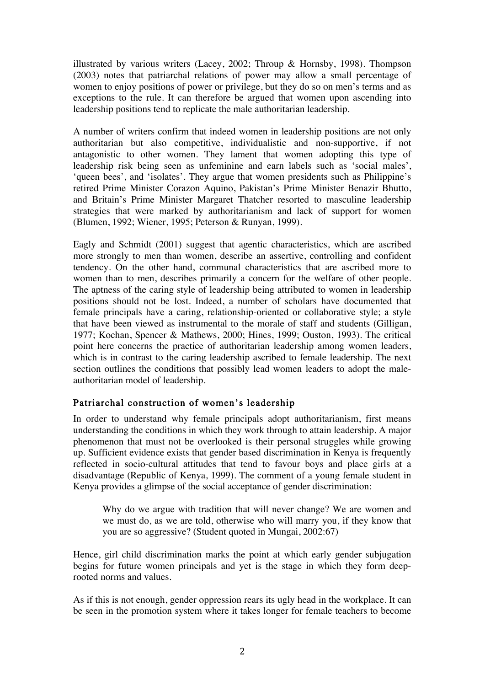illustrated by various writers (Lacey, 2002; Throup & Hornsby, 1998). Thompson (2003) notes that patriarchal relations of power may allow a small percentage of women to enjoy positions of power or privilege, but they do so on men's terms and as exceptions to the rule. It can therefore be argued that women upon ascending into leadership positions tend to replicate the male authoritarian leadership.

A number of writers confirm that indeed women in leadership positions are not only authoritarian but also competitive, individualistic and non-supportive, if not antagonistic to other women. They lament that women adopting this type of leadership risk being seen as unfeminine and earn labels such as 'social males', 'queen bees', and 'isolates'. They argue that women presidents such as Philippine's retired Prime Minister Corazon Aquino, Pakistan's Prime Minister Benazir Bhutto, and Britain's Prime Minister Margaret Thatcher resorted to masculine leadership strategies that were marked by authoritarianism and lack of support for women (Blumen, 1992; Wiener, 1995; Peterson & Runyan, 1999).

Eagly and Schmidt (2001) suggest that agentic characteristics, which are ascribed more strongly to men than women, describe an assertive, controlling and confident tendency. On the other hand, communal characteristics that are ascribed more to women than to men, describes primarily a concern for the welfare of other people. The aptness of the caring style of leadership being attributed to women in leadership positions should not be lost. Indeed, a number of scholars have documented that female principals have a caring, relationship-oriented or collaborative style; a style that have been viewed as instrumental to the morale of staff and students (Gilligan, 1977; Kochan, Spencer & Mathews, 2000; Hines, 1999; Ouston, 1993). The critical point here concerns the practice of authoritarian leadership among women leaders, which is in contrast to the caring leadership ascribed to female leadership. The next section outlines the conditions that possibly lead women leaders to adopt the maleauthoritarian model of leadership.

# Patriarchal construction of women's leadership

In order to understand why female principals adopt authoritarianism, first means understanding the conditions in which they work through to attain leadership. A major phenomenon that must not be overlooked is their personal struggles while growing up. Sufficient evidence exists that gender based discrimination in Kenya is frequently reflected in socio-cultural attitudes that tend to favour boys and place girls at a disadvantage (Republic of Kenya, 1999). The comment of a young female student in Kenya provides a glimpse of the social acceptance of gender discrimination:

Why do we argue with tradition that will never change? We are women and we must do, as we are told, otherwise who will marry you, if they know that you are so aggressive? (Student quoted in Mungai, 2002:67)

Hence, girl child discrimination marks the point at which early gender subjugation begins for future women principals and yet is the stage in which they form deeprooted norms and values.

As if this is not enough, gender oppression rears its ugly head in the workplace. It can be seen in the promotion system where it takes longer for female teachers to become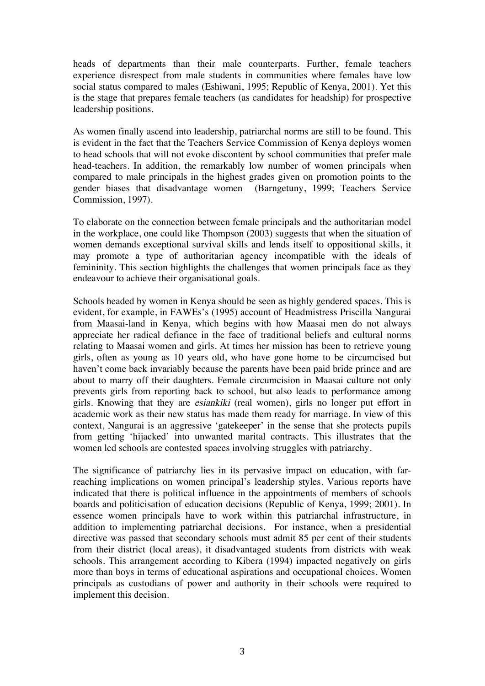heads of departments than their male counterparts. Further, female teachers experience disrespect from male students in communities where females have low social status compared to males (Eshiwani, 1995; Republic of Kenya, 2001). Yet this is the stage that prepares female teachers (as candidates for headship) for prospective leadership positions.

As women finally ascend into leadership, patriarchal norms are still to be found. This is evident in the fact that the Teachers Service Commission of Kenya deploys women to head schools that will not evoke discontent by school communities that prefer male head-teachers. In addition, the remarkably low number of women principals when compared to male principals in the highest grades given on promotion points to the gender biases that disadvantage women (Barngetuny, 1999; Teachers Service Commission, 1997).

To elaborate on the connection between female principals and the authoritarian model in the workplace, one could like Thompson (2003) suggests that when the situation of women demands exceptional survival skills and lends itself to oppositional skills, it may promote a type of authoritarian agency incompatible with the ideals of femininity. This section highlights the challenges that women principals face as they endeavour to achieve their organisational goals.

Schools headed by women in Kenya should be seen as highly gendered spaces. This is evident, for example, in FAWEs's (1995) account of Headmistress Priscilla Nangurai from Maasai-land in Kenya, which begins with how Maasai men do not always appreciate her radical defiance in the face of traditional beliefs and cultural norms relating to Maasai women and girls. At times her mission has been to retrieve young girls, often as young as 10 years old, who have gone home to be circumcised but haven't come back invariably because the parents have been paid bride prince and are about to marry off their daughters. Female circumcision in Maasai culture not only prevents girls from reporting back to school, but also leads to performance among girls. Knowing that they are esiankiki (real women), girls no longer put effort in academic work as their new status has made them ready for marriage. In view of this context, Nangurai is an aggressive 'gatekeeper' in the sense that she protects pupils from getting 'hijacked' into unwanted marital contracts. This illustrates that the women led schools are contested spaces involving struggles with patriarchy.

The significance of patriarchy lies in its pervasive impact on education, with farreaching implications on women principal's leadership styles. Various reports have indicated that there is political influence in the appointments of members of schools boards and politicisation of education decisions (Republic of Kenya, 1999; 2001). In essence women principals have to work within this patriarchal infrastructure, in addition to implementing patriarchal decisions. For instance, when a presidential directive was passed that secondary schools must admit 85 per cent of their students from their district (local areas), it disadvantaged students from districts with weak schools. This arrangement according to Kibera (1994) impacted negatively on girls more than boys in terms of educational aspirations and occupational choices. Women principals as custodians of power and authority in their schools were required to implement this decision.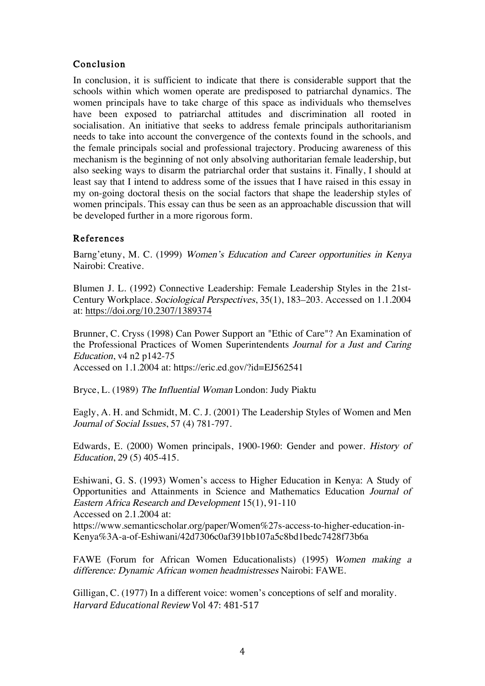## Conclusion

In conclusion, it is sufficient to indicate that there is considerable support that the schools within which women operate are predisposed to patriarchal dynamics. The women principals have to take charge of this space as individuals who themselves have been exposed to patriarchal attitudes and discrimination all rooted in socialisation. An initiative that seeks to address female principals authoritarianism needs to take into account the convergence of the contexts found in the schools, and the female principals social and professional trajectory. Producing awareness of this mechanism is the beginning of not only absolving authoritarian female leadership, but also seeking ways to disarm the patriarchal order that sustains it. Finally, I should at least say that I intend to address some of the issues that I have raised in this essay in my on-going doctoral thesis on the social factors that shape the leadership styles of women principals. This essay can thus be seen as an approachable discussion that will be developed further in a more rigorous form.

### References

Barng'etuny, M. C. (1999) Women's Education and Career opportunities in Kenya Nairobi: Creative.

Blumen J. L. (1992) Connective Leadership: Female Leadership Styles in the 21st-Century Workplace. Sociological Perspectives, 35(1), 183–203. Accessed on 1.1.2004 at: https://doi.org/10.2307/1389374

Brunner, C. Cryss (1998) Can Power Support an "Ethic of Care"? An Examination of the Professional Practices of Women Superintendents Journal for <sup>a</sup> Just and Caring Education, v4 n2 p142-75 Accessed on 1.1.2004 at: https://eric.ed.gov/?id=EJ562541

Bryce, L. (1989) The Influential Woman London: Judy Piaktu

Eagly, A. H. and Schmidt, M. C. J. (2001) The Leadership Styles of Women and Men Journal of Social Issues, 57 (4) 781-797.

Edwards, E. (2000) Women principals, 1900-1960: Gender and power. History of Education, 29 (5) 405-415.

Eshiwani, G. S. (1993) Women's access to Higher Education in Kenya: A Study of Opportunities and Attainments in Science and Mathematics Education Journal of Eastern Africa Research and Development 15(1), 91-110 Accessed on 2.1.2004 at:

https://www.semanticscholar.org/paper/Women%27s-access-to-higher-education-in-Kenya%3A-a-of-Eshiwani/42d7306c0af391bb107a5c8bd1bedc7428f73b6a

FAWE (Forum for African Women Educationalists) (1995) Women making a difference: Dynamic African women headmistresses Nairobi: FAWE.

Gilligan, C. (1977) In a different voice: women's conceptions of self and morality. *Harvard Educational Review* Vol 47: 481-517